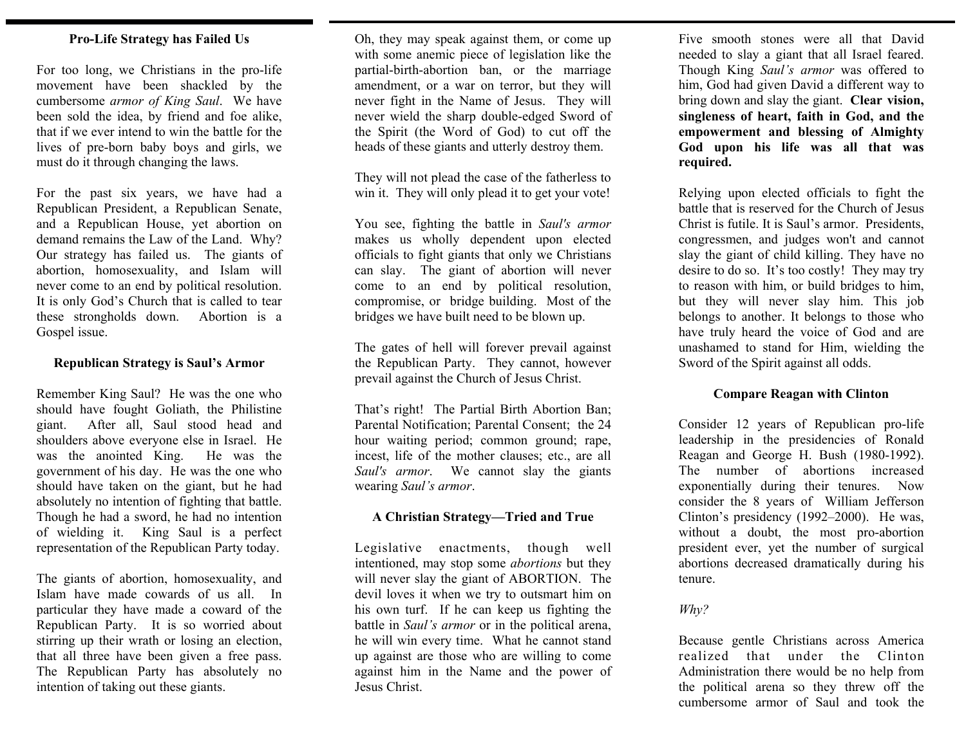### **Pro-Life Strategy has Failed Us**

For too long, we Christians in the pro-life movement have been shackled by the cumbersome *armor of King Saul*. We have been sold the idea, by friend and foe alike, that if we ever intend to win the battle for the lives of pre-born baby boys and girls, we must do it through changing the laws.

For the past six years, we have had a Republican President, a Republican Senate, and a Republican House, yet abortion on demand remains the Law of the Land. Why? Our strategy has failed us. The giants of abortion, homosexuality, and Islam will never come to an end by political resolution. It is only God's Church that is called to tear these strongholds down. Abortion is a Gospel issue.

#### **Republican Strategy is Saul's Armor**

Remember King Saul? He was the one who should have fought Goliath, the Philistine giant. After all, Saul stood head and shoulders above everyone else in Israel. He was the anointed King. He was the government of his day. He was the one who should have taken on the giant, but he had absolutely no intention of fighting that battle. Though he had a sword, he had no intention of wielding it. King Saul is a perfect representation of the Republican Party today.

The giants of abortion, homosexuality, and Islam have made cowards of us all. In particular they have made a coward of the Republican Party. It is so worried about stirring up their wrath or losing an election, that all three have been given a free pass. The Republican Party has absolutely no intention of taking out these giants.

Oh, they may speak against them, or come up with some anemic piece of legislation like the partial-birth-abortion ban, or the marriage amendment, or a war on terror, but they will never fight in the Name of Jesus. They will never wield the sharp double-edged Sword of the Spirit (the Word of God) to cut off the heads of these giants and utterly destroy them.

They will not plead the case of the fatherless to win it. They will only plead it to get your vote!

You see, fighting the battle in *Saul's armor* makes us wholly dependent upon elected officials to fight giants that only we Christians can slay. The giant of abortion will never come to an end by political resolution, compromise, or bridge building. Most of the bridges we have built need to be blown up.

The gates of hell will forever prevail against the Republican Party. They cannot, however prevail against the Church of Jesus Christ.

That's right! The Partial Birth Abortion Ban; Parental Notification; Parental Consent; the 24 hour waiting period; common ground; rape, incest, life of the mother clauses; etc., are all *Saul's armor*. We cannot slay the giants wearing *Saul's armor*.

#### **A Christian Strategy—Tried and True**

Legislative enactments, though well intentioned, may stop some *abortions* but they will never slay the giant of ABORTION. The devil loves it when we try to outsmart him on his own turf. If he can keep us fighting the battle in *Saul's armor* or in the political arena, he will win every time. What he cannot stand up against are those who are willing to come against him in the Name and the power of Jesus Christ.

Five smooth stones were all that David needed to slay a giant that all Israel feared. Though King *Saul's armor* was offered to him, God had given David a different way to bring down and slay the giant. **Clear vision, singleness of heart, faith in God, and the empowerment and blessing of Almighty God upon his life was all that was required.** 

Relying upon elected officials to fight the battle that is reserved for the Church of Jesus Christ is futile. It is Saul's armor. Presidents, congressmen, and judges won't and cannot slay the giant of child killing. They have no desire to do so. It's too costly! They may try to reason with him, or build bridges to him, but they will never slay him. This job belongs to another. It belongs to those who have truly heard the voice of God and are unashamed to stand for Him, wielding the Sword of the Spirit against all odds.

## **Compare Reagan with Clinton**

Consider 12 years of Republican pro-life leadership in the presidencies of Ronald Reagan and George H. Bush (1980-1992). The number of abortions increased exponentially during their tenures. Now consider the 8 years of William Jefferson Clinton's presidency (1992–2000). He was, without a doubt, the most pro-abortion president ever, yet the number of surgical abortions decreased dramatically during his tenure.

## *Why?*

Because gentle Christians across America realized that under the Clinton Administration there would be no help from the political arena so they threw off the cumbersome armor of Saul and took the